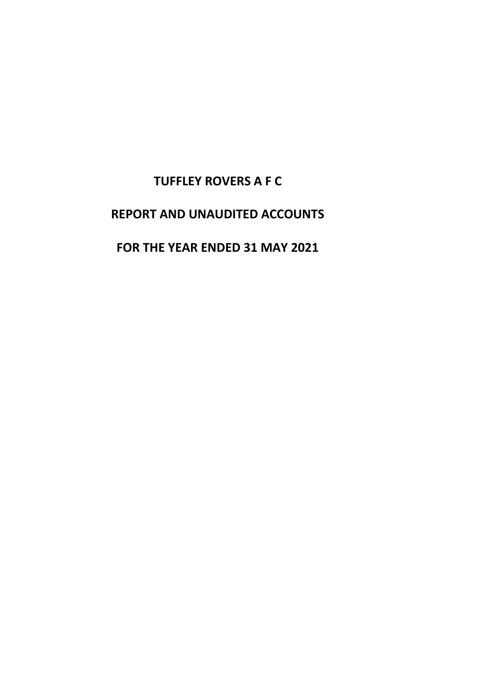# **TUFFLEY ROVERS A F C**

# **REPORT AND UNAUDITED ACCOUNTS**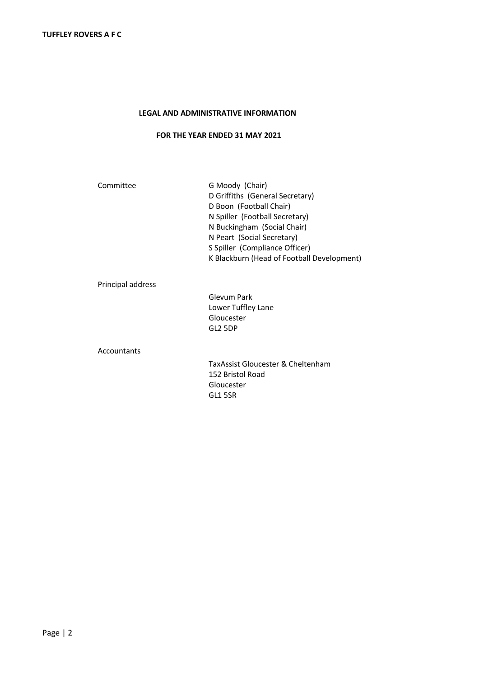### **LEGAL AND ADMINISTRATIVE INFORMATION**

# **FOR THE YEAR ENDED 31 MAY 2021**

| Committee         | G Moody (Chair)                            |  |  |
|-------------------|--------------------------------------------|--|--|
|                   | D Griffiths (General Secretary)            |  |  |
|                   | D Boon (Football Chair)                    |  |  |
|                   | N Spiller (Football Secretary)             |  |  |
|                   | N Buckingham (Social Chair)                |  |  |
|                   | N Peart (Social Secretary)                 |  |  |
|                   | S Spiller (Compliance Officer)             |  |  |
|                   | K Blackburn (Head of Football Development) |  |  |
| Principal address |                                            |  |  |
|                   | Glevum Park                                |  |  |
|                   | Lower Tuffley Lane                         |  |  |
|                   | Gloucester                                 |  |  |
|                   | GL2 5DP                                    |  |  |

Accountants

TaxAssist Gloucester & Cheltenham 152 Bristol Road Gloucester GL1 5SR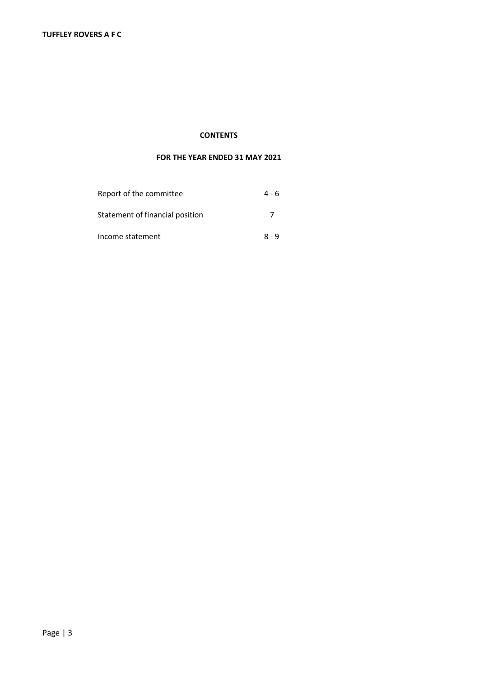### **CONTENTS**

| Report of the committee         | 4 - 6   |
|---------------------------------|---------|
| Statement of financial position | 7       |
| Income statement                | $8 - 9$ |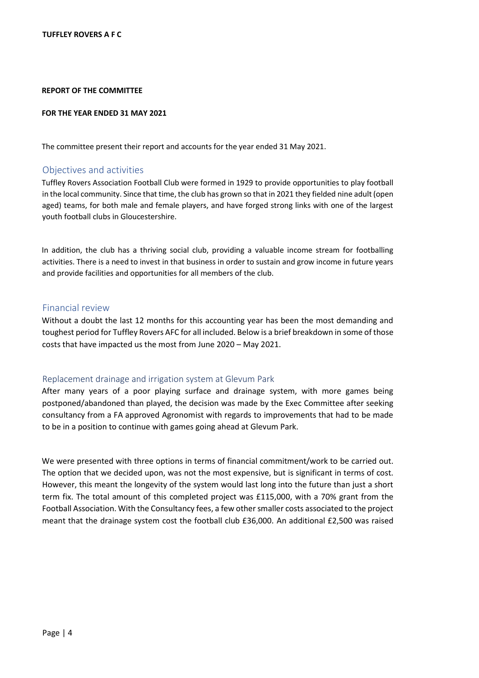#### **REPORT OF THE COMMITTEE**

#### **FOR THE YEAR ENDED 31 MAY 2021**

The committee present their report and accounts for the year ended 31 May 2021.

#### Objectives and activities

Tuffley Rovers Association Football Club were formed in 1929 to provide opportunities to play football in the local community. Since that time, the club has grown so that in 2021 they fielded nine adult (open aged) teams, for both male and female players, and have forged strong links with one of the largest youth football clubs in Gloucestershire.

In addition, the club has a thriving social club, providing a valuable income stream for footballing activities. There is a need to invest in that business in order to sustain and grow income in future years and provide facilities and opportunities for all members of the club.

#### Financial review

Without a doubt the last 12 months for this accounting year has been the most demanding and toughest period for Tuffley Rovers AFC for all included. Below is a brief breakdown in some of those costs that have impacted us the most from June 2020 – May 2021.

#### Replacement drainage and irrigation system at Glevum Park

After many years of a poor playing surface and drainage system, with more games being postponed/abandoned than played, the decision was made by the Exec Committee after seeking consultancy from a FA approved Agronomist with regards to improvements that had to be made to be in a position to continue with games going ahead at Glevum Park.

We were presented with three options in terms of financial commitment/work to be carried out. The option that we decided upon, was not the most expensive, but is significant in terms of cost. However, this meant the longevity of the system would last long into the future than just a short term fix. The total amount of this completed project was £115,000, with a 70% grant from the Football Association. With the Consultancy fees, a few other smaller costs associated to the project meant that the drainage system cost the football club £36,000. An additional £2,500 was raised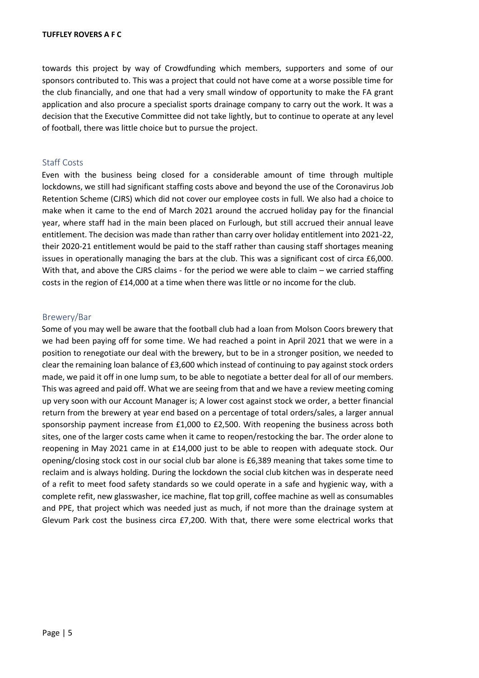towards this project by way of Crowdfunding which members, supporters and some of our sponsors contributed to. This was a project that could not have come at a worse possible time for the club financially, and one that had a very small window of opportunity to make the FA grant application and also procure a specialist sports drainage company to carry out the work. It was a decision that the Executive Committee did not take lightly, but to continue to operate at any level of football, there was little choice but to pursue the project.

## Staff Costs

Even with the business being closed for a considerable amount of time through multiple lockdowns, we still had significant staffing costs above and beyond the use of the Coronavirus Job Retention Scheme (CJRS) which did not cover our employee costs in full. We also had a choice to make when it came to the end of March 2021 around the accrued holiday pay for the financial year, where staff had in the main been placed on Furlough, but still accrued their annual leave entitlement. The decision was made than rather than carry over holiday entitlement into 2021-22, their 2020-21 entitlement would be paid to the staff rather than causing staff shortages meaning issues in operationally managing the bars at the club. This was a significant cost of circa £6,000. With that, and above the CJRS claims - for the period we were able to claim – we carried staffing costs in the region of £14,000 at a time when there was little or no income for the club.

## Brewery/Bar

Some of you may well be aware that the football club had a loan from Molson Coors brewery that we had been paying off for some time. We had reached a point in April 2021 that we were in a position to renegotiate our deal with the brewery, but to be in a stronger position, we needed to clear the remaining loan balance of £3,600 which instead of continuing to pay against stock orders made, we paid it off in one lump sum, to be able to negotiate a better deal for all of our members. This was agreed and paid off. What we are seeing from that and we have a review meeting coming up very soon with our Account Manager is; A lower cost against stock we order, a better financial return from the brewery at year end based on a percentage of total orders/sales, a larger annual sponsorship payment increase from £1,000 to £2,500. With reopening the business across both sites, one of the larger costs came when it came to reopen/restocking the bar. The order alone to reopening in May 2021 came in at £14,000 just to be able to reopen with adequate stock. Our opening/closing stock cost in our social club bar alone is £6,389 meaning that takes some time to reclaim and is always holding. During the lockdown the social club kitchen was in desperate need of a refit to meet food safety standards so we could operate in a safe and hygienic way, with a complete refit, new glasswasher, ice machine, flat top grill, coffee machine as well as consumables and PPE, that project which was needed just as much, if not more than the drainage system at Glevum Park cost the business circa £7,200. With that, there were some electrical works that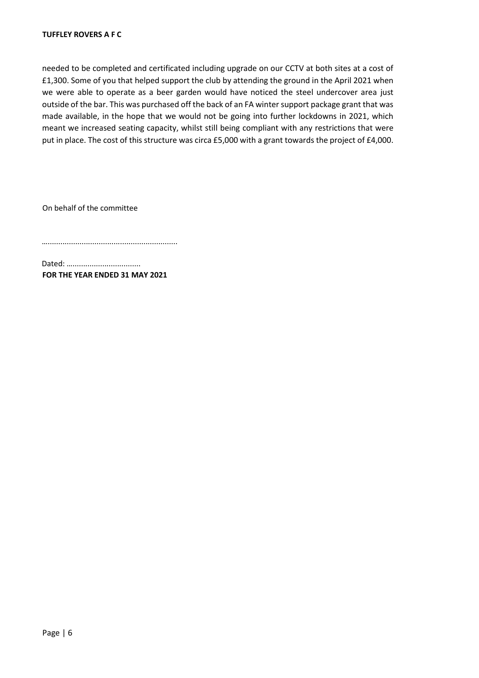needed to be completed and certificated including upgrade on our CCTV at both sites at a cost of £1,300. Some of you that helped support the club by attending the ground in the April 2021 when we were able to operate as a beer garden would have noticed the steel undercover area just outside of the bar. This was purchased off the back of an FA winter support package grant that was made available, in the hope that we would not be going into further lockdowns in 2021, which meant we increased seating capacity, whilst still being compliant with any restrictions that were put in place. The cost of this structure was circa £5,000 with a grant towards the project of £4,000.

On behalf of the committee

….............................................................

Dated: …................................ **FOR THE YEAR ENDED 31 MAY 2021**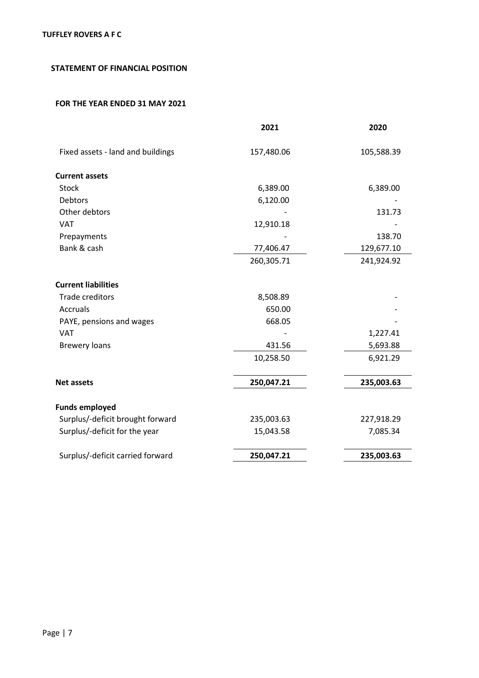# **STATEMENT OF FINANCIAL POSITION**

|                                   | 2021       | 2020       |
|-----------------------------------|------------|------------|
| Fixed assets - land and buildings | 157,480.06 | 105,588.39 |
| <b>Current assets</b>             |            |            |
| <b>Stock</b>                      | 6,389.00   | 6,389.00   |
| Debtors                           | 6,120.00   |            |
| Other debtors                     |            | 131.73     |
| <b>VAT</b>                        | 12,910.18  |            |
| Prepayments                       |            | 138.70     |
| Bank & cash                       | 77,406.47  | 129,677.10 |
|                                   | 260,305.71 | 241,924.92 |
| <b>Current liabilities</b>        |            |            |
| <b>Trade creditors</b>            | 8,508.89   |            |
| <b>Accruals</b>                   | 650.00     |            |
| PAYE, pensions and wages          | 668.05     |            |
| <b>VAT</b>                        |            | 1,227.41   |
| <b>Brewery loans</b>              | 431.56     | 5,693.88   |
|                                   | 10,258.50  | 6,921.29   |
| <b>Net assets</b>                 | 250,047.21 | 235,003.63 |
|                                   |            |            |
| <b>Funds employed</b>             |            |            |
| Surplus/-deficit brought forward  | 235,003.63 | 227,918.29 |
| Surplus/-deficit for the year     | 15,043.58  | 7,085.34   |
| Surplus/-deficit carried forward  | 250,047.21 | 235,003.63 |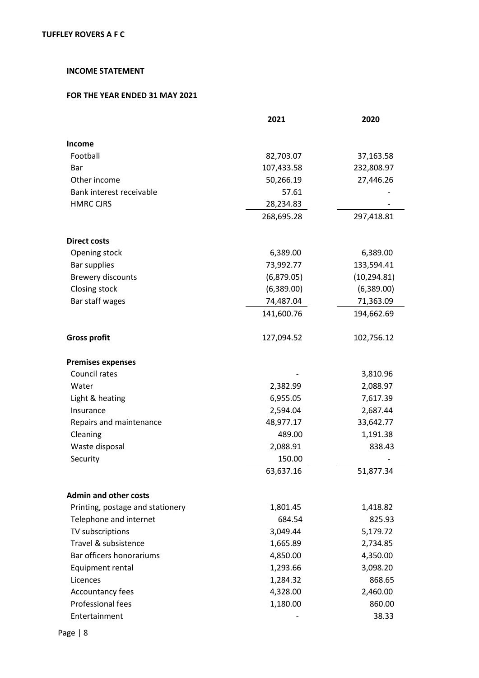# **INCOME STATEMENT**

|                                  | 2021       | 2020         |
|----------------------------------|------------|--------------|
| Income                           |            |              |
| Football                         | 82,703.07  | 37,163.58    |
| Bar                              | 107,433.58 | 232,808.97   |
| Other income                     | 50,266.19  | 27,446.26    |
| Bank interest receivable         | 57.61      |              |
| <b>HMRC CJRS</b>                 | 28,234.83  |              |
|                                  | 268,695.28 | 297,418.81   |
| <b>Direct costs</b>              |            |              |
| Opening stock                    | 6,389.00   | 6,389.00     |
| <b>Bar supplies</b>              | 73,992.77  | 133,594.41   |
| <b>Brewery discounts</b>         | (6,879.05) | (10, 294.81) |
| Closing stock                    | (6,389.00) | (6,389.00)   |
| Bar staff wages                  | 74,487.04  | 71,363.09    |
|                                  | 141,600.76 | 194,662.69   |
| <b>Gross profit</b>              | 127,094.52 | 102,756.12   |
| <b>Premises expenses</b>         |            |              |
| Council rates                    |            | 3,810.96     |
| Water                            | 2,382.99   | 2,088.97     |
| Light & heating                  | 6,955.05   | 7,617.39     |
| Insurance                        | 2,594.04   | 2,687.44     |
| Repairs and maintenance          | 48,977.17  | 33,642.77    |
| Cleaning                         | 489.00     | 1,191.38     |
| Waste disposal                   | 2,088.91   | 838.43       |
| Security                         | 150.00     |              |
|                                  | 63,637.16  | 51,877.34    |
| <b>Admin and other costs</b>     |            |              |
| Printing, postage and stationery | 1,801.45   | 1,418.82     |
| Telephone and internet           | 684.54     | 825.93       |
| TV subscriptions                 | 3,049.44   | 5,179.72     |
| Travel & subsistence             | 1,665.89   | 2,734.85     |
| Bar officers honorariums         | 4,850.00   | 4,350.00     |
| Equipment rental                 | 1,293.66   | 3,098.20     |
| Licences                         | 1,284.32   | 868.65       |
| Accountancy fees                 | 4,328.00   | 2,460.00     |
| Professional fees                | 1,180.00   | 860.00       |
| Entertainment                    |            | 38.33        |